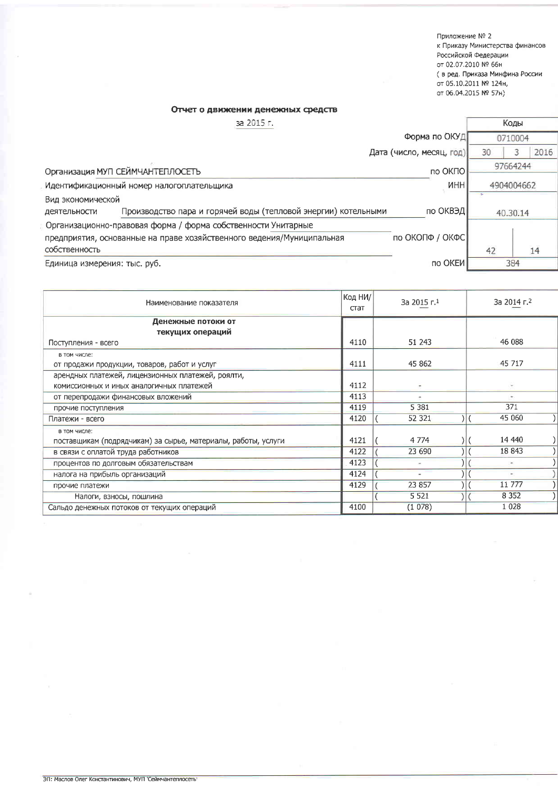Приложение № 2 к Приказу Министерства финансов Российской Федерации от 02.07.2010 № 66н ( в ред. Приказа Минфина России от 05.10.2011 № 124н, от 06.04.2015 № 57н)

Коды

## Отчет о движении денежных средств

за 2015 г.

|                              |                                                                       | Форма по ОКУД            | 0710004 |            |      |
|------------------------------|-----------------------------------------------------------------------|--------------------------|---------|------------|------|
|                              |                                                                       | Дата (число, месяц, год) | 30      |            | 2016 |
|                              | Организация МУП СЕЙМЧАНТЕПЛОСЕТЬ                                      | по ОКПО                  |         | 97664244   |      |
|                              | Идентификационный номер налогоплательщика                             | <b>NHH</b>               |         | 4904004662 |      |
| Вид экономической            |                                                                       |                          |         |            |      |
| деятельности                 | Производство пара и горячей воды (тепловой энергии) котельными        | по ОКВЭД                 |         | 40.30.14   |      |
|                              | Организационно-правовая форма / форма собственности Унитарные         |                          |         |            |      |
|                              | предприятия, основанные на праве хозяйственного ведения/Муниципальная | по ОКОПФ / ОКФС          |         |            |      |
| собственность                |                                                                       |                          | 42      |            | 14   |
| Единица измерения: тыс. руб. |                                                                       | по ОКЕИ                  |         | 384        |      |
|                              |                                                                       |                          |         |            |      |

| Наименование показателя                                       |      | Код НИ/<br>За 2015 г.1 | За 2014 г. <sup>2</sup>  |  |  |
|---------------------------------------------------------------|------|------------------------|--------------------------|--|--|
| Денежные потоки от                                            |      |                        |                          |  |  |
| текущих операций                                              |      |                        |                          |  |  |
| Поступления - всего                                           |      | 51 243                 | 46 088                   |  |  |
| в том числе:                                                  |      |                        |                          |  |  |
| от продажи продукции, товаров, работ и услуг                  |      | 45 862                 | 45 717                   |  |  |
| арендных платежей, лицензионных платежей, роялти,             |      |                        |                          |  |  |
| комиссионных и иных аналогичных платежей                      |      |                        | $\overline{\phantom{a}}$ |  |  |
| от перепродажи финансовых вложений                            |      |                        | $\ddot{}$                |  |  |
| прочие поступления                                            |      | 5 3 8 1                | 371                      |  |  |
| Платежи - всего                                               | 4120 | 52 321                 | 45 060                   |  |  |
| в том числе:                                                  |      |                        |                          |  |  |
| поставщикам (подрядчикам) за сырье, материалы, работы, услуги | 4121 | 4 7 7 4                | 14 440                   |  |  |
| в связи с оплатой труда работников                            | 4122 | 23 690                 | 18 843                   |  |  |
| процентов по долговым обязательствам                          | 4123 |                        |                          |  |  |
| налога на прибыль организаций                                 |      | $\ddot{}$              | $\overline{\phantom{a}}$ |  |  |
| прочие платежи                                                |      | 23 857                 | 11 777                   |  |  |
| Налоги, взносы, пошлина                                       |      | 5 5 2 1                | 8 3 5 2                  |  |  |
| Сальдо денежных потоков от текущих операций                   |      | (1078)                 | 1 0 2 8                  |  |  |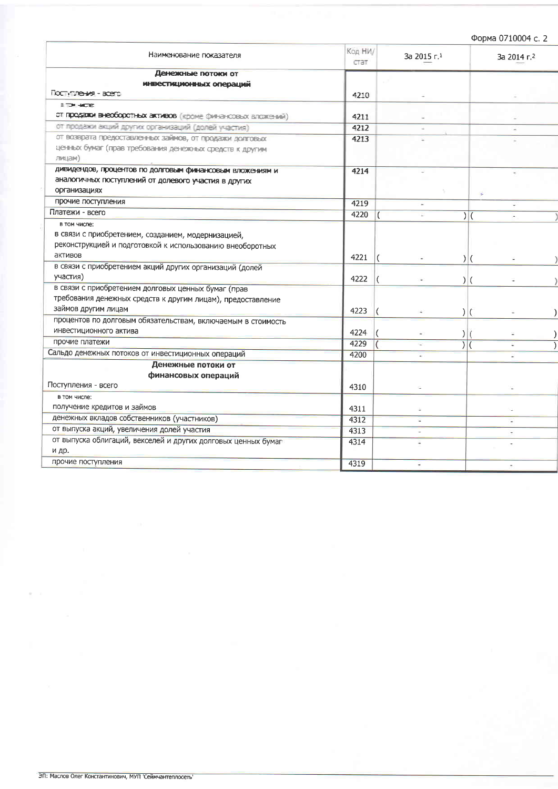| Форма 0710004 с. 2 |  |
|--------------------|--|
|                    |  |

|                                                               |                                |    | Ψυμπα υν <b>Ι</b> υυυπ υ. Ζ |  |  |
|---------------------------------------------------------------|--------------------------------|----|-----------------------------|--|--|
| Наи <del>мен</del> ование показателя                          | Код НИ/<br>За 2015 г.1<br>стат |    | За 2014 г. 2                |  |  |
| Денежные потоки от                                            |                                |    |                             |  |  |
| ИНВЕСТИЦИОННЫХ ОПЕРАЦИЙ                                       |                                |    |                             |  |  |
| Поступения - всего                                            | 4210                           |    |                             |  |  |
| <b>BITPI HOTE</b>                                             |                                |    |                             |  |  |
| от продажи внеоборотных активов (кроме финансовых влажений)   | 4211                           |    |                             |  |  |
| от продажи акций других организаций (долей участия)           | 4212                           |    |                             |  |  |
| от возврата предоставленных займов, от продажи долговых       | 4213                           |    |                             |  |  |
| ценных бумаг (прав требования денежных средств к другим       |                                |    |                             |  |  |
| лицам)                                                        |                                |    |                             |  |  |
| дивидендов, процентов по долговым финансовым вложениям и      | 4214                           |    |                             |  |  |
| аналогичных поступлений от долевого участия в других          |                                |    |                             |  |  |
| организациях                                                  |                                |    | S.                          |  |  |
| прочие поступления                                            | 4219                           | ÷  |                             |  |  |
| Платежи - всего                                               | 4220                           |    | $\sqrt{}$                   |  |  |
| в том числе:                                                  |                                |    |                             |  |  |
| в связи с приобретением, созданием, модернизацией,            |                                |    |                             |  |  |
| реконструкцией и подготовкой к использованию внеоборотных     |                                |    |                             |  |  |
| активов                                                       | 4221                           |    | $\vert$ (                   |  |  |
| в связи с приобретением акций других организаций (долей       |                                |    |                             |  |  |
| участия)                                                      | 4222                           |    | $\vert$ (                   |  |  |
| в связи с приобретением долговых ценных бумаг (прав           |                                |    |                             |  |  |
| требования денежных средств к другим лицам), предоставление   |                                |    |                             |  |  |
| займов другим лицам                                           | 4223                           |    | $\vert$ (                   |  |  |
| процентов по долговым обязательствам, включаемым в стоимость  |                                |    |                             |  |  |
| инвестиционного актива                                        | 4224                           | )  |                             |  |  |
| прочие платежи                                                | 4229                           | ١İ |                             |  |  |
| Сальдо денежных потоков от инвестиционных операций            | 4200                           |    |                             |  |  |
| Денежные потоки от                                            |                                |    |                             |  |  |
| финансовых операций                                           |                                |    |                             |  |  |
| Поступления - всего                                           | 4310                           |    |                             |  |  |
| в том числе:                                                  |                                |    |                             |  |  |
| получение кредитов и займов                                   | 4311                           |    |                             |  |  |
| денежных вкладов собственников (участников)                   | 4312                           |    |                             |  |  |
| от выпуска акций, увеличения долей участия                    | 4313                           |    |                             |  |  |
| от выпуска облигаций, векселей и других долговых ценных бумаг | 4314                           |    |                             |  |  |
| и др.                                                         |                                |    |                             |  |  |
| прочие поступления                                            | 4319                           |    |                             |  |  |
|                                                               |                                |    |                             |  |  |